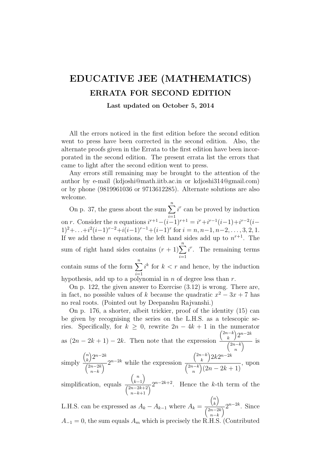## EDUCATIVE JEE (MATHEMATICS) ERRATA FOR SECOND EDITION

## Last updated on October 5, 2014

All the errors noticed in the first edition before the second edition went to press have been corrected in the second edition. Also, the alternate proofs given in the Errata to the first edition have been incorporated in the second edition. The present errata list the errors that came to light after the second edition went to press.

Any errors still remaining may be brought to the attention of the author by e-mail (kdjoshi@math.iitb.ac.in or kdjoshi314@gmail.com) or by phone (9819961036 or 9713612285). Alternate solutions are also welcome.

On p. 37, the guess about the sum  $\sum_{n=1}^n$  $i=1$  $i^r$  can be proved by induction on r. Consider the *n* equations  $i^{r+1} - (i-1)^{r+1} = i^r + i^{r-1}(i-1) + i^{r-2}(i-1)$  $1)^2 + \ldots + i^2(i-1)^{r-2} + i(i-1)^{r-1} + (i-1)^r$  for  $i = n, n-1, n-2, \ldots, 3, 2, 1$ . If we add these *n* equations, the left hand sides add up to  $n^{r+1}$ . The sum of right hand sides contains  $(r + 1)\sum_{n=1}^{\infty}$  $i=1$  $i^r$ . The remaining terms contain sums of the form  $\sum_{n=1}^n$  $i=1$  $i^k$  for  $k < r$  and hence, by the induction hypothesis, add up to a polynomial in  $n$  of degree less than  $r$ .

On p. 122, the given answer to Exercise (3.12) is wrong. There are, in fact, no possible values of k because the quadratic  $x^2 - 3x + 7$  has no real roots. (Pointed out by Deepanshu Rajvanshi.)

On p. 176, a shorter, albeit trickier, proof of the identity (15) can be given by recognising the series on the L.H.S. as a telescopic series. Specifically, for  $k \geq 0$ , rewrite  $2n - 4k + 1$  in the numerator as  $(2n - 2k + 1) - 2k$ . Then note that the expression  $\left(2n-k\right)$ k  $2^{n-2k}$  $\left(2n-k\right)$ n  $\overline{\mathcal{N}}$  is simply  $\left( n\right)$ k  $2^{n-2k}$  $\left(2n-2k\right)$  $n-k$  $\sqrt{2^{n-2k}}$  while the expression  $\left(2n-k\right)$ k  $\big) 2k2^{n-2k}$  $\left(2n-k\right)$ n  $\big(2n - 2k + 1\big)$ , upon  $\binom{n}{n}$  $\setminus$ 

simplification, equals  $k-1$  $(2n-2k+2)$  $\frac{(k-1)}{n-2k+2}$  2<sup>n-2k+2</sup>. Hence the k-th term of the

L.H.S. can be expressed as  $A_k - A_{k-1}$  where  $A_k =$  $\left( n\right)$ k  $\setminus$  $\int 2n-2k$  $n-k$  $\overline{C}^{2^{n-2k}}$ . Since  $A_{-1} = 0$ , the sum equals  $A_m$  which is precisely the R.H.S. (Contributed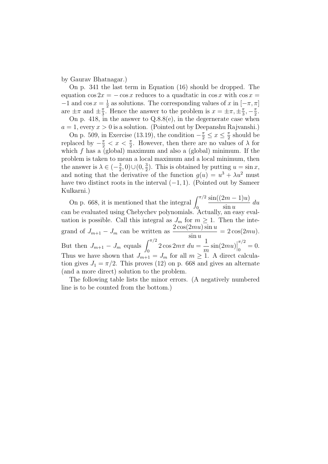by Gaurav Bhatnagar.)

On p. 341 the last term in Equation (16) should be dropped. The equation  $\cos 2x = -\cos x$  reduces to a quadtatic in  $\cos x$  with  $\cos x =$  $-1$  and cos  $x=\frac{1}{2}$  $\frac{1}{2}$  as solutions. The corresponding values of x in  $[-\pi, \pi]$ are  $\pm \pi$  and  $\pm \frac{\pi}{3}$  $\frac{\pi}{3}$ . Hence the answer to the problem is  $x = \pm \pi, \pm \frac{\pi}{3}$  $\frac{\pi}{3}, -\frac{\pi}{2}$  $\frac{\pi}{2}$ .

On p. 418, in the answer to Q.8.8(e), in the degernerate case when  $a = 1$ , every  $x > 0$  is a solution. (Pointed out by Deepanshu Rajvanshi.)

On p. 509, in Exercise (13.19), the condition  $-\frac{\pi}{2} \leq x \leq \frac{\pi}{2}$  $\frac{\pi}{2}$  should be replaced by  $-\frac{\pi}{2} < x < \frac{\pi}{2}$ . However, then there are no values of  $\lambda$  for which  $f$  has a (global) maximum and also a (global) minimum. If the problem is taken to mean a local maximum and a local minimum, then the answer is  $\lambda \in \left(-\frac{3}{2}\right)$  $(\frac{3}{2},0)\cup(0,\frac{3}{2})$  $(\frac{3}{2})$ . This is obtained by putting  $u = \sin x$ , and noting that the derivative of the function  $g(u) = u^3 + \lambda u^2$  must have two distinct roots in the interval  $(-1, 1)$ . (Pointed out by Sameer Kulkarni.)

On p. 668, it is mentioned that the integral  $\int_0^{\pi/2}$  $\sin((2m-1)u)$  $\sin u$ du can be evaluated using Chebychev polynomials. Actually, an easy evaluation is possible. Call this integral as  $J_m$  for  $m \geq 1$ . Then the integrand of  $J_{m+1} - J_m$  can be written as  $\frac{2 \cos(2mu) \sin u}{\sin u}$  $= 2 \cos(2mu).$ But then  $J_{m+1} - J_m$  equals  $\int_0^{\pi/2} 2 \cos 2m\pi \, du =$ 1  $\dot{m}$  $\sin(2mu)\Big|$  $\pi/2$  $\frac{1}{0} = 0.$ Thus we have shown that  $J_{m+1}^{(0)} = J_m$  for all  $m \geq 1$ . A direct calculation gives  $J_1 = \pi/2$ . This proves (12) on p. 668 and gives an alternate (and a more direct) solution to the problem.

The following table lists the minor errors. (A negatively numbered line is to be counted from the bottom.)